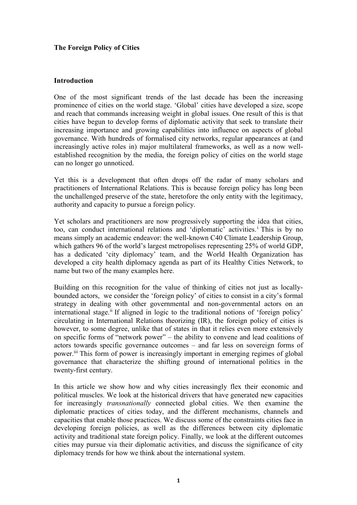# **The Foreign Policy of Cities**

### **Introduction**

One of the most significant trends of the last decade has been the increasing prominence of cities on the world stage. 'Global' cities have developed a size, scope and reach that commands increasing weight in global issues. One result of this is that cities have begun to develop forms of diplomatic activity that seek to translate their increasing importance and growing capabilities into influence on aspects of global governance. With hundreds of formalised city networks, regular appearances at (and increasingly active roles in) major multilateral frameworks, as well as a now wellestablished recognition by the media, the foreign policy of cities on the world stage can no longer go unnoticed.

Yet this is a development that often drops off the radar of many scholars and practitioners of International Relations. This is because foreign policy has long been the unchallenged preserve of the state, heretofore the only entity with the legitimacy, authority and capacity to pursue a foreign policy.

Yet scholars and practitioners are now progressively supporting the idea that cities, too, can conduct international relations and 'diplomatic' activities. <sup>i</sup> This is by no means simply an academic endeavor: the well-known C40 Climate Leadership Group, which gathers 96 of the world's largest metropolises representing 25% of world GDP, has a dedicated 'city diplomacy' team, and the World Health Organization has developed a city health diplomacy agenda as part of its Healthy Cities Network, to name but two of the many examples here.

Building on this recognition for the value of thinking of cities not just as locallybounded actors, we consider the 'foreign policy' of cities to consist in a city's formal strategy in dealing with other governmental and non-governmental actors on an international stage.<sup>ii</sup> If aligned in logic to the traditional notions of 'foreign policy' circulating in International Relations theorizing (IR), the foreign policy of cities is however, to some degree, unlike that of states in that it relies even more extensively on specific forms of "network power" – the ability to convene and lead coalitions of actors towards specific governance outcomes – and far less on sovereign forms of power.<sup>iii</sup> This form of power is increasingly important in emerging regimes of global governance that characterize the shifting ground of international politics in the twenty-first century.

In this article we show how and why cities increasingly flex their economic and political muscles. We look at the historical drivers that have generated new capacities for increasingly *transnationally* connected global cities. We then examine the diplomatic practices of cities today, and the different mechanisms, channels and capacities that enable those practices. We discuss some of the constraints cities face in developing foreign policies, as well as the differences between city diplomatic activity and traditional state foreign policy. Finally, we look at the different outcomes cities may pursue via their diplomatic activities, and discuss the significance of city diplomacy trends for how we think about the international system.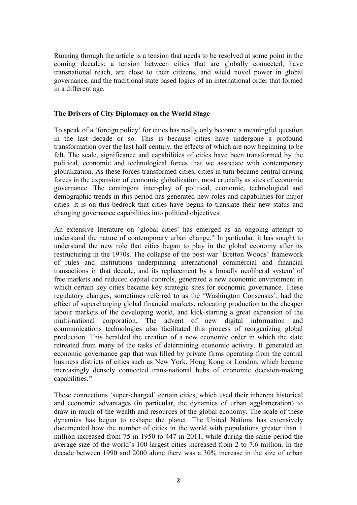Running through the article is a tension that needs to be resolved at some point in the coming decades: a tension between cities that are globally connected, have transnational reach, are close to their citizens, and wield novel power in global governance, and the traditional state based logics of an international order that formed in a different age.

#### **The Drivers of City Diplomacy on the World Stage**

To speak of a 'foreign policy' for cities has really only become a meaningful question in the last decade or so. This is because cities have undergone a profound transformation over the last half century, the effects of which are now beginning to be felt. The scale, significance and capabilities of cities have been transformed by the political, economic and technological forces that we associate with contemporary globalization. As these forces transformed cities, cities in turn became central driving forces in the expansion of economic globalization, most crucially as sites of economic governance. The contingent inter-play of political, economic, technological and demographic trends in this period has generated new roles and capabilities for major cities. It is on this bedrock that cities have begun to translate their new status and changing governance capabilities into political objectives.

An extensive literature on 'global cities' has emerged as an ongoing attempt to understand the nature of contemporary urban change.<sup>iv</sup> In particular, it has sought to understand the new role that cities began to play in the global economy after its restructuring in the 1970s. The collapse of the post-war 'Bretton Woods' framework of rules and institutions underpinning international commercial and financial transactions in that decade, and its replacement by a broadly neoliberal system<sup>v</sup> of free markets and reduced capital controls, generated a new economic environment in which certain key cities became key strategic sites for economic governance. These regulatory changes, sometimes referred to as the 'Washington Consensus', had the effect of supercharging global financial markets, relocating production to the cheaper labour markets of the developing world, and kick-starting a great expansion of the multi-national corporation. The advent of new digital information and communications technologies also facilitated this process of reorganizing global production. This heralded the creation of a new economic order in which the state retreated from many of the tasks of determining economic activity. It generated an economic governance gap that was filled by private firms operating from the central business districts of cities such as New York, Hong Kong or London, which became increasingly densely connected trans-national hubs of economic decision-making capabilities. $\overline{v}$ 

These connections 'super-charged' certain cities, which used their inherent historical and economic advantages (in particular, the dynamics of urban agglomeration) to draw in much of the wealth and resources of the global economy. The scale of these dynamics has begun to reshape the planet. The United Nations has extensively documented how the number of cities in the world with populations greater than 1 million increased from 75 in 1950 to 447 in 2011, while during the same period the average size of the world's 100 largest cities increased from 2 to 7.6 million. In the decade between 1990 and 2000 alone there was a 30% increase in the size of urban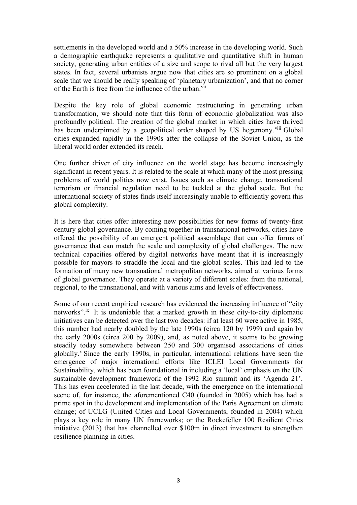settlements in the developed world and a 50% increase in the developing world. Such a demographic earthquake represents a qualitative and quantitative shift in human society, generating urban entities of a size and scope to rival all but the very largest states. In fact, several urbanists argue now that cities are so prominent on a global scale that we should be really speaking of 'planetary urbanization', and that no corner of the Earth is free from the influence of the urban.<sup>vii</sup>

Despite the key role of global economic restructuring in generating urban transformation, we should note that this form of economic globalization was also profoundly political. The creation of the global market in which cities have thrived has been underpinned by a geopolitical order shaped by US hegemony. viii Global cities expanded rapidly in the 1990s after the collapse of the Soviet Union, as the liberal world order extended its reach.

One further driver of city influence on the world stage has become increasingly significant in recent years. It is related to the scale at which many of the most pressing problems of world politics now exist. Issues such as climate change, transnational terrorism or financial regulation need to be tackled at the global scale. But the international society of states finds itself increasingly unable to efficiently govern this global complexity.

It is here that cities offer interesting new possibilities for new forms of twenty-first century global governance. By coming together in transnational networks, cities have offered the possibility of an emergent political assemblage that can offer forms of governance that can match the scale and complexity of global challenges. The new technical capacities offered by digital networks have meant that it is increasingly possible for mayors to straddle the local and the global scales. This had led to the formation of many new transnational metropolitan networks, aimed at various forms of global governance. They operate at a variety of different scales: from the national, regional, to the transnational, and with various aims and levels of effectiveness.

Some of our recent empirical research has evidenced the increasing influence of "city networks".<sup>ix</sup> It is undeniable that a marked growth in these city-to-city diplomatic initiatives can be detected over the last two decades: if at least 60 were active in 1985, this number had nearly doubled by the late 1990s (circa 120 by 1999) and again by the early 2000s (circa 200 by 2009), and, as noted above, it seems to be growing steadily today somewhere between 250 and 300 organised associations of cities globally. $^x$  Since the early 1990s, in particular, international relations have seen the emergence of major international efforts like ICLEI Local Governments for Sustainability, which has been foundational in including a 'local' emphasis on the UN sustainable development framework of the 1992 Rio summit and its 'Agenda 21'. This has even accelerated in the last decade, with the emergence on the international scene of, for instance, the aforementioned C40 (founded in 2005) which has had a prime spot in the development and implementation of the Paris Agreement on climate change; of UCLG (United Cities and Local Governments, founded in 2004) which plays a key role in many UN frameworks; or the Rockefeller 100 Resilient Cities initiative (2013) that has channelled over \$100m in direct investment to strengthen resilience planning in cities.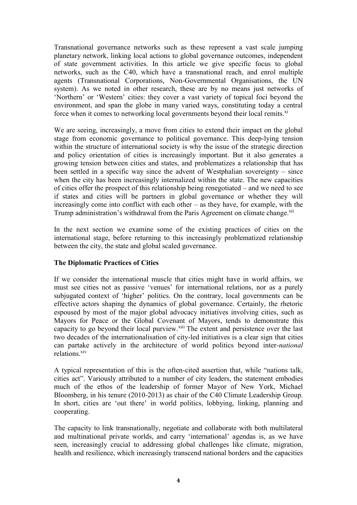Transnational governance networks such as these represent a vast scale jumping planetary network, linking local actions to global governance outcomes, independent of state government activities. In this article we give specific focus to global networks, such as the C40, which have a transnational reach, and enrol multiple agents (Transnational Corporations, Non-Governmental Organisations, the UN system). As we noted in other research, these are by no means just networks of 'Northern' or 'Western' cities: they cover a vast variety of topical foci beyond the environment, and span the globe in many varied ways, constituting today a central force when it comes to networking local governments beyond their local remits.<sup>xi</sup>

We are seeing, increasingly, a move from cities to extend their impact on the global stage from economic governance to political governance. This deep-lying tension within the structure of international society is why the issue of the strategic direction and policy orientation of cities is increasingly important. But it also generates a growing tension between cities and states, and problematizes a relationship that has been settled in a specific way since the advent of Westphalian sovereignty – since when the city has been increasingly internalized within the state. The new capacities of cities offer the prospect of this relationship being renegotiated – and we need to see if states and cities will be partners in global governance or whether they will increasingly come into conflict with each other – as they have, for example, with the Trump administration's withdrawal from the Paris Agreement on climate change.<sup>xii</sup>

In the next section we examine some of the existing practices of cities on the international stage, before returning to this increasingly problematized relationship between the city, the state and global scaled governance.

# **The Diplomatic Practices of Cities**

If we consider the international muscle that cities might have in world affairs, we must see cities not as passive 'venues' for international relations, nor as a purely subjugated context of 'higher' politics. On the contrary, local governments can be effective actors shaping the dynamics of global governance. Certainly, the rhetoric espoused by most of the major global advocacy initiatives involving cities, such as Mayors for Peace or the Global Covenant of Mayors, tends to demonstrate this capacity to go beyond their local purview.<sup>xiii</sup> The extent and persistence over the last two decades of the internationalisation of city-led initiatives is a clear sign that cities can partake actively in the architecture of world politics beyond inter-*national* relations.<sup>xiv</sup>

A typical representation of this is the often-cited assertion that, while "nations talk, cities act". Variously attributed to a number of city leaders, the statement embodies much of the ethos of the leadership of former Mayor of New York, Michael Bloomberg, in his tenure (2010-2013) as chair of the C40 Climate Leadership Group. In short, cities are 'out there' in world politics, lobbying, linking, planning and cooperating.

The capacity to link transnationally, negotiate and collaborate with both multilateral and multinational private worlds, and carry 'international' agendas is, as we have seen, increasingly crucial to addressing global challenges like climate, migration, health and resilience, which increasingly transcend national borders and the capacities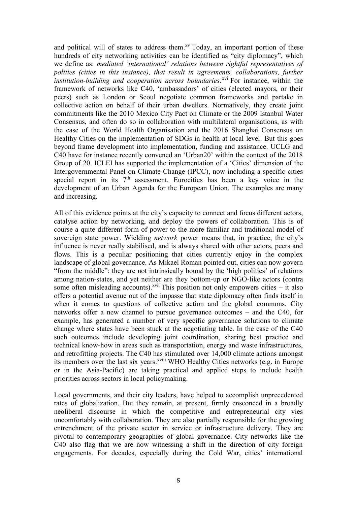and political will of states to address them.<sup>xv</sup> Today, an important portion of these hundreds of city networking activities can be identified as "city diplomacy", which we define as: *mediated 'international' relations between rightful representatives of polities (cities in this instance), that result in agreements, collaborations, further institution-building and cooperation across boundaries*.<sup>xvi</sup> For instance, within the framework of networks like C40, 'ambassadors' of cities (elected mayors, or their peers) such as London or Seoul negotiate common frameworks and partake in collective action on behalf of their urban dwellers. Normatively, they create joint commitments like the 2010 Mexico City Pact on Climate or the 2009 Istanbul Water Consensus, and often do so in collaboration with multilateral organisations, as with the case of the World Health Organisation and the 2016 Shanghai Consensus on Healthy Cities on the implementation of SDGs in health at local level. But this goes beyond frame development into implementation, funding and assistance. UCLG and C40 have for instance recently convened an 'Urban20' within the context of the 2018 Group of 20. ICLEI has supported the implementation of a 'Cities' dimension of the Intergovernmental Panel on Climate Change (IPCC), now including a specific cities special report in its 7<sup>th</sup> assessment. Eurocities has been a key voice in the development of an Urban Agenda for the European Union. The examples are many and increasing.

All of this evidence points at the city's capacity to connect and focus different actors, catalyse action by networking, and deploy the powers of collaboration. This is of course a quite different form of power to the more familiar and traditional model of sovereign state power. Wielding *network* power means that, in practice, the city's influence is never really stabilised, and is always shared with other actors, peers and flows. This is a peculiar positioning that cities currently enjoy in the complex landscape of global governance. As Mikael Roman pointed out, cities can now govern "from the middle": they are not intrinsically bound by the 'high politics' of relations among nation-states, and yet neither are they bottom-up or NGO-like actors (contra some often misleading accounts).<sup>xvii</sup> This position not only empowers cities  $-$  it also offers a potential avenue out of the impasse that state diplomacy often finds itself in when it comes to questions of collective action and the global commons. City networks offer a new channel to pursue governance outcomes – and the C40, for example, has generated a number of very specific governance solutions to climate change where states have been stuck at the negotiating table. In the case of the C40 such outcomes include developing joint coordination, sharing best practice and technical know-how in areas such as transportation, energy and waste infrastructures, and retrofitting projects. The C40 has stimulated over 14,000 climate actions amongst its members over the last six years.<sup>xviii</sup> WHO Healthy Cities networks (e.g. in Europe or in the Asia-Pacific) are taking practical and applied steps to include health priorities across sectors in local policymaking.

Local governments, and their city leaders, have helped to accomplish unprecedented rates of globalization. But they remain, at present, firmly ensconced in a broadly neoliberal discourse in which the competitive and entrepreneurial city vies uncomfortably with collaboration. They are also partially responsible for the growing entrenchment of the private sector in service or infrastructure delivery. They are pivotal to contemporary geographies of global governance. City networks like the C40 also flag that we are now witnessing a shift in the direction of city foreign engagements. For decades, especially during the Cold War, cities' international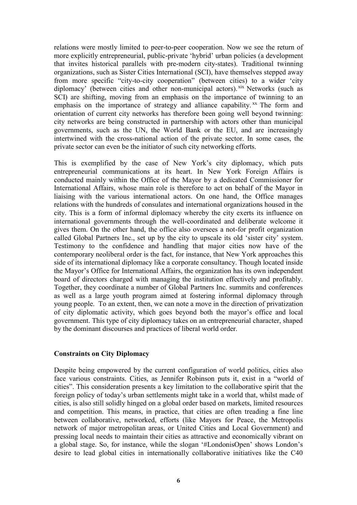relations were mostly limited to peer-to-peer cooperation. Now we see the return of more explicitly entrepreneurial, public-private 'hybrid' urban policies (a development that invites historical parallels with pre-modern city-states). Traditional twinning organizations, such as Sister Cities International (SCI), have themselves stepped away from more specific "city-to-city cooperation" (between cities) to a wider 'city diplomacy' (between cities and other non-municipal actors). xix Networks (such as SCI) are shifting, moving from an emphasis on the importance of twinning to an emphasis on the importance of strategy and alliance capability.  $X<sup>x</sup>$  The form and orientation of current city networks has therefore been going well beyond twinning: city networks are being constructed in partnership with actors other than municipal governments, such as the UN, the World Bank or the EU, and are increasingly intertwined with the cross-national action of the private sector. In some cases, the private sector can even be the initiator of such city networking efforts.

This is exemplified by the case of New York's city diplomacy, which puts entrepreneurial communications at its heart. In New York Foreign Affairs is conducted mainly within the Office of the Mayor by a dedicated Commissioner for International Affairs, whose main role is therefore to act on behalf of the Mayor in liaising with the various international actors. On one hand, the Office manages relations with the hundreds of consulates and international organizations housed in the city. This is a form of informal diplomacy whereby the city exerts its influence on international governments through the well-coordinated and deliberate welcome it gives them. On the other hand, the office also oversees a not-for profit organization called Global Partners Inc., set up by the city to upscale its old 'sister city' system. Testimony to the confidence and handling that major cities now have of the contemporary neoliberal order is the fact, for instance, that New York approaches this side of its international diplomacy like a corporate consultancy. Though located inside the Mayor's Office for International Affairs, the organization has its own independent board of directors charged with managing the institution effectively and profitably. Together, they coordinate a number of Global Partners Inc. summits and conferences as well as a large youth program aimed at fostering informal diplomacy through young people. To an extent, then, we can note a move in the direction of privatization of city diplomatic activity, which goes beyond both the mayor's office and local government. This type of city diplomacy takes on an entrepreneurial character, shaped by the dominant discourses and practices of liberal world order.

#### **Constraints on City Diplomacy**

Despite being empowered by the current configuration of world politics, cities also face various constraints. Cities, as Jennifer Robinson puts it, exist in a "world of cities". This consideration presents a key limitation to the collaborative spirit that the foreign policy of today's urban settlements might take in a world that, whilst made of cities, is also still solidly hinged on a global order based on markets, limited resources and competition. This means, in practice, that cities are often treading a fine line between collaborative, networked, efforts (like Mayors for Peace, the Metropolis network of major metropolitan areas, or United Cities and Local Government) and pressing local needs to maintain their cities as attractive and economically vibrant on a global stage. So, for instance, while the slogan '#LondonisOpen' shows London's desire to lead global cities in internationally collaborative initiatives like the C40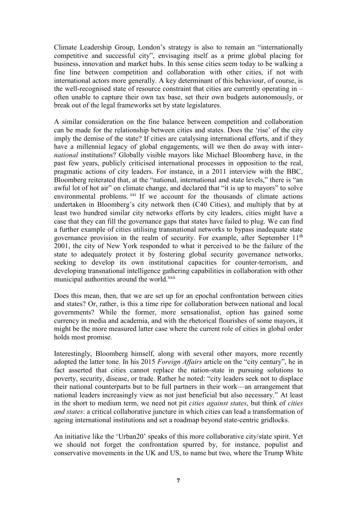Climate Leadership Group, London's strategy is also to remain an "internationally competitive and successful city", envisaging itself as a prime global placing for business, innovation and market hubs. In this sense cities seem today to be walking a fine line between competition and collaboration with other cities, if not with international actors more generally. A key determinant of this behaviour, of course, is the well-recognised state of resource constraint that cities are currently operating in – often unable to capture their own tax base, set their own budgets autonomously, or break out of the legal frameworks set by state legislatures.

A similar consideration on the fine balance between competition and collaboration can be made for the relationship between cities and states. Does the 'rise' of the city imply the demise of the state? If cities are catalysing international efforts, and if they have a millennial legacy of global engagements, will we then do away with inter*national* institutions? Globally visible mayors like Michael Bloomberg have, in the past few years, publicly criticised international processes in opposition to the real, pragmatic actions of city leaders. For instance, in a 2011 interview with the BBC, Bloomberg reiterated that, at the "national, international and state levels," there is "an awful lot of hot air" on climate change, and declared that "it is up to mayors" to solve environmental problems. <sup>xxi</sup> If we account for the thousands of climate actions undertaken in Bloomberg's city network then (C40 Cities), and multiply that by at least two hundred similar city networks efforts by city leaders, cities might have a case that they can fill the governance gaps that states have failed to plug. We can find a further example of cities utilising transnational networks to bypass inadequate state governance provision in the realm of security. For example, after September 11<sup>th</sup> 2001, the city of New York responded to what it perceived to be the failure of the state to adequately protect it by fostering global security governance networks, seeking to develop its own institutional capacities for counter-terrorism, and developing transnational intelligence gathering capabilities in collaboration with other municipal authorities around the world.<sup>xxii</sup>

Does this mean, then, that we are set up for an epochal confrontation between cities and states? Or, rather, is this a time ripe for collaboration between national and local governments? While the former, more sensationalist, option has gained some currency in media and academia, and with the rhetorical flourishes of some mayors, it might be the more measured latter case where the current role of cities in global order holds most promise.

Interestingly, Bloomberg himself, along with several other mayors, more recently adopted the latter tone. In his 2015 *Foreign Affairs* article on the "city century", he in fact asserted that cities cannot replace the nation-state in pursuing solutions to poverty, security, disease, or trade. Rather he noted: "city leaders seek not to displace their national counterparts but to be full partners in their work—an arrangement that national leaders increasingly view as not just beneficial but also necessary." At least in the short to medium term, we need not pit *cities against states*, but think of *cities and states*: a critical collaborative juncture in which cities can lead a transformation of ageing international institutions and set a roadmap beyond state-centric gridlocks.

An initiative like the 'Urban20' speaks of this more collaborative city/state spirit. Yet we should not forget the confrontation spurred by, for instance, populist and conservative movements in the UK and US, to name but two, where the Trump White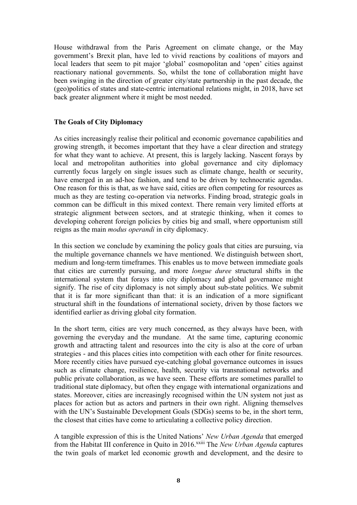House withdrawal from the Paris Agreement on climate change, or the May government's Brexit plan, have led to vivid reactions by coalitions of mayors and local leaders that seem to pit major 'global' cosmopolitan and 'open' cities against reactionary national governments. So, whilst the tone of collaboration might have been swinging in the direction of greater city/state partnership in the past decade, the (geo)politics of states and state-centric international relations might, in 2018, have set back greater alignment where it might be most needed.

### **The Goals of City Diplomacy**

As cities increasingly realise their political and economic governance capabilities and growing strength, it becomes important that they have a clear direction and strategy for what they want to achieve. At present, this is largely lacking. Nascent forays by local and metropolitan authorities into global governance and city diplomacy currently focus largely on single issues such as climate change, health or security, have emerged in an ad-hoc fashion, and tend to be driven by technocratic agendas. One reason for this is that, as we have said, cities are often competing for resources as much as they are testing co-operation via networks. Finding broad, strategic goals in common can be difficult in this mixed context. There remain very limited efforts at strategic alignment between sectors, and at strategic thinking, when it comes to developing coherent foreign policies by cities big and small, where opportunism still reigns as the main *modus operandi* in city diplomacy.

In this section we conclude by examining the policy goals that cities are pursuing, via the multiple governance channels we have mentioned. We distinguish between short, medium and long-term timeframes. This enables us to move between immediate goals that cities are currently pursuing, and more *longue duree* structural shifts in the international system that forays into city diplomacy and global governance might signify. The rise of city diplomacy is not simply about sub-state politics. We submit that it is far more significant than that: it is an indication of a more significant structural shift in the foundations of international society, driven by those factors we identified earlier as driving global city formation.

In the short term, cities are very much concerned, as they always have been, with governing the everyday and the mundane. At the same time, capturing economic growth and attracting talent and resources into the city is also at the core of urban strategies - and this places cities into competition with each other for finite resources. More recently cities have pursued eye-catching global governance outcomes in issues such as climate change, resilience, health, security via transnational networks and public private collaboration, as we have seen. These efforts are sometimes parallel to traditional state diplomacy, but often they engage with international organizations and states. Moreover, cities are increasingly recognised within the UN system not just as places for action but as actors and partners in their own right. Aligning themselves with the UN's Sustainable Development Goals (SDGs) seems to be, in the short term, the closest that cities have come to articulating a collective policy direction.

A tangible expression of this is the United Nations' *New Urban Agenda* that emerged from the Habitat III conference in Quito in 2016.<sup>xxiii</sup> The *New Urban Agenda* captures the twin goals of market led economic growth and development, and the desire to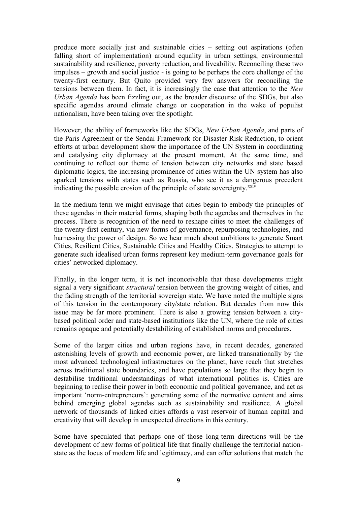produce more socially just and sustainable cities – setting out aspirations (often falling short of implementation) around equality in urban settings, environmental sustainability and resilience, poverty reduction, and liveability. Reconciling these two impulses – growth and social justice - is going to be perhaps the core challenge of the twenty-first century. But Quito provided very few answers for reconciling the tensions between them. In fact, it is increasingly the case that attention to the *New Urban Agenda* has been fizzling out, as the broader discourse of the SDGs, but also specific agendas around climate change or cooperation in the wake of populist nationalism, have been taking over the spotlight.

However, the ability of frameworks like the SDGs, *New Urban Agenda*, and parts of the Paris Agreement or the Sendai Framework for Disaster Risk Reduction, to orient efforts at urban development show the importance of the UN System in coordinating and catalysing city diplomacy at the present moment. At the same time, and continuing to reflect our theme of tension between city networks and state based diplomatic logics, the increasing prominence of cities within the UN system has also sparked tensions with states such as Russia, who see it as a dangerous precedent indicating the possible erosion of the principle of state sovereignty.<sup>xxiv</sup>

In the medium term we might envisage that cities begin to embody the principles of these agendas in their material forms, shaping both the agendas and themselves in the process. There is recognition of the need to reshape cities to meet the challenges of the twenty-first century, via new forms of governance, repurposing technologies, and harnessing the power of design. So we hear much about ambitions to generate Smart Cities, Resilient Cities, Sustainable Cities and Healthy Cities. Strategies to attempt to generate such idealised urban forms represent key medium-term governance goals for cities' networked diplomacy.

Finally, in the longer term, it is not inconceivable that these developments might signal a very significant *structural* tension between the growing weight of cities, and the fading strength of the territorial sovereign state. We have noted the multiple signs of this tension in the contemporary city/state relation. But decades from now this issue may be far more prominent. There is also a growing tension between a citybased political order and state-based institutions like the UN, where the role of cities remains opaque and potentially destabilizing of established norms and procedures.

Some of the larger cities and urban regions have, in recent decades, generated astonishing levels of growth and economic power, are linked transnationally by the most advanced technological infrastructures on the planet, have reach that stretches across traditional state boundaries, and have populations so large that they begin to destabilise traditional understandings of what international politics is. Cities are beginning to realise their power in both economic and political governance, and act as important 'norm-entrepreneurs': generating some of the normative content and aims behind emerging global agendas such as sustainability and resilience. A global network of thousands of linked cities affords a vast reservoir of human capital and creativity that will develop in unexpected directions in this century.

Some have speculated that perhaps one of those long-term directions will be the development of new forms of political life that finally challenge the territorial nationstate as the locus of modern life and legitimacy, and can offer solutions that match the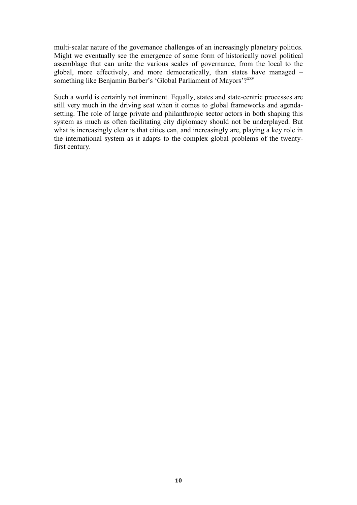multi-scalar nature of the governance challenges of an increasingly planetary politics. Might we eventually see the emergence of some form of historically novel political assemblage that can unite the various scales of governance, from the local to the global, more effectively, and more democratically, than states have managed – something like Benjamin Barber's 'Global Parliament of Mayors'?<sup>xxv</sup>

Such a world is certainly not imminent. Equally, states and state-centric processes are still very much in the driving seat when it comes to global frameworks and agendasetting. The role of large private and philanthropic sector actors in both shaping this system as much as often facilitating city diplomacy should not be underplayed. But what is increasingly clear is that cities can, and increasingly are, playing a key role in the international system as it adapts to the complex global problems of the twentyfirst century.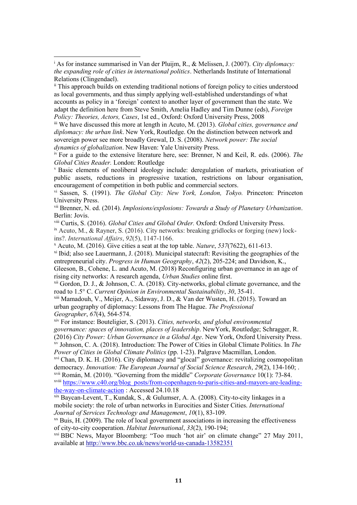$\overline{a}$ 

ii This approach builds on extending traditional notions of foreign policy to cities understood as local governments, and thus simply applying well-established understandings of what accounts as policy in a 'foreign' context to another layer of government than the state. We adapt the definition here from Steve Smith, Amelia Hadley and Tim Dunne (eds), *Foreign Policy: Theories, Actors, Cases*, 1st ed., Oxford: Oxford University Press, 2008

iii We have discussed this more at length in Acuto, M. (2013). *Global cities, governance and diplomacy: the urban link*. New York, Routledge. On the distinction between network and sovereign power see more broadly Grewal, D. S. (2008). *Network power: The social dynamics of globalization*. New Haven: Yale University Press.

iv For a guide to the extensive literature here, see: Brenner, N and Keil, R. eds. (2006). *The Global Cities Reader.* London: Routledge

<sup>v</sup> Basic elements of neoliberal ideology include: deregulation of markets, privatisation of public assets, reductions in progressive taxation, restrictions on labour organisation, encouragement of competition in both public and commercial sectors.

vi Sassen, S. (1991). *The Global City: New York, London, Tokyo.* Princeton: Princeton University Press.

vii Brenner, N. ed. (2014). *Implosions/explosions: Towards a Study of Planetary Urbanization*. Berlin: Jovis.

viii Curtis, S. (2016). *Global Cities and Global Order.* Oxford: Oxford University Press.

<sup>ix</sup> Acuto, M., & Rayner, S. (2016). City networks: breaking gridlocks or forging (new) lockins?. *International Affairs*, *92*(5), 1147-1166.

<sup>x</sup> Acuto, M. (2016). Give cities a seat at the top table. *Nature*, *537*(7622), 611-613.

xi Ibid; also see Lauermann, J. (2018). Municipal statecraft: Revisiting the geographies of the entrepreneurial city. *Progress in Human Geography*, *42*(2), 205-224; and Davidson, K.,

Gleeson, B., Cohene, L. and Acuto, M. (2018) Reconfiguring urban governance in an age of rising city networks: A research agenda, *Urban Studies* online first.

<sup>xii</sup> Gordon, D. J., & Johnson, C. A. (2018). City-networks, global climate governance, and the road to 1.5° C. *Current Opinion in Environmental Sustainability*, *30*, 35-41.

xiii Mamadouh, V., Meijer, A., Sidaway, J. D., & Van der Wusten, H. (2015). Toward an urban geography of diplomacy: Lessons from The Hague. *The Professional Geographer*, *67*(4), 564-574.

xiv For instance: Bouteligier, S. (2013). *Cities, networks, and global environmental governance: spaces of innovation, places of leadership*. NewYork, Routledge; Schragger, R. (2016) *City Power: Urban Governance in a Global Age*. New York, Oxford University Press. xv Johnson, C. A. (2018). Introduction: The Power of Cities in Global Climate Politics. In *The* 

*Power of Cities in Global Climate Politics* (pp. 1-23). Palgrave Macmillan, London.

xvi Chan, D. K. H. (2016). City diplomacy and "glocal" governance: revitalizing cosmopolitan democracy. *Innovation: The European Journal of Social Science Research*, *29*(2), 134-160; . xvii Román, M. (2010). "Governing from the middle" *Corporate Governance* 10(1): 73-84.

xviii [https://www.c40.org/blog\\_posts/from-copenhagen-to-paris-cities-and-mayors-are-leading](https://www.c40.org/blog_posts/from-copenhagen-to-paris-cities-and-mayors-are-leading-the-way-on-climate-action)[the-way-on-climate-action](https://www.c40.org/blog_posts/from-copenhagen-to-paris-cities-and-mayors-are-leading-the-way-on-climate-action) : Accessed 24.10.18

xix Baycan-Levent, T., Kundak, S., & Gulumser, A. A. (2008). City-to-city linkages in a mobile society: the role of urban networks in Eurocities and Sister Cities. *International Journal of Services Technology and Management*, *10*(1), 83-109.

 $x<sub>x</sub>$  Buis, H. (2009). The role of local government associations in increasing the effectiveness of city-to-city cooperation. *Habitat International*, *33*(2), 190-194;

xxi BBC News, Mayor Bloomberg: "Too much 'hot air' on climate change" 27 May 2011, available at<http://www.bbc.co.uk/news/world-us-canada-13582351>

<sup>i</sup> As for instance summarised in Van der Pluijm, R., & Melissen, J. (2007). *City diplomacy: the expanding role of cities in international politics*. Netherlands Institute of International Relations (Clingendael).